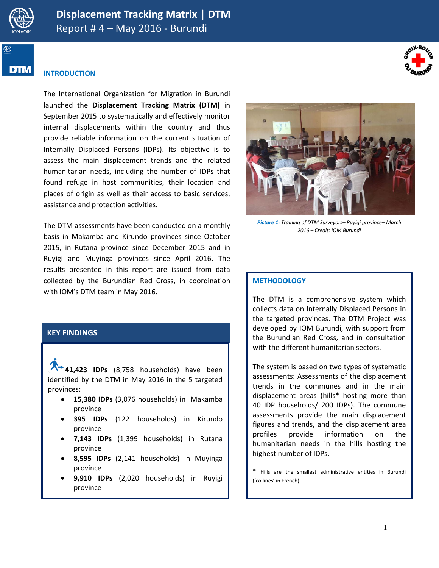

DIM



## **INTRODUCTION**

The International Organization for Migration in Burundi launched the **Displacement Tracking Matrix (DTM)** in September 2015 to systematically and effectively monitor internal displacements within the country and thus provide reliable information on the current situation of Internally Displaced Persons (IDPs). Its objective is to assess the main displacement trends and the related humanitarian needs, including the number of IDPs that found refuge in host communities, their location and places of origin as well as their access to basic services, assistance and protection activities.

The DTM assessments have been conducted on a monthly basis in Makamba and Kirundo provinces since October 2015, in Rutana province since December 2015 and in Ruyigi and Muyinga provinces since April 2016. The results presented in this report are issued from data collected by the Burundian Red Cross, in coordination with IOM's DTM team in May 2016.

## **KEY FINDINGS**

**41,423 IDPs** (8,758 households) have been identified by the DTM in May 2016 in the 5 targeted provinces:

- **15,380 IDPs** (3,076 households) in Makamba province
- **395 IDPs** (122 households) in Kirundo province
- **7,143 IDPs** (1,399 households) in Rutana province
- **8,595 IDPs** (2,141 households) in Muyinga province
- **9,910 IDPs** (2,020 households) in Ruyigi province



*Picture 1: Training of DTM Surveyors– Ruyigi province– March 2016 – Credit: IOM Burundi*

#### **METHODOLOGY**

The DTM is a comprehensive system which collects data on Internally Displaced Persons in the targeted provinces. The DTM Project was developed by IOM Burundi, with support from the Burundian Red Cross, and in consultation with the different humanitarian sectors.

The system is based on two types of systematic assessments: Assessments of the displacement trends in the communes and in the main displacement areas (hills\* hosting more than 40 IDP households/ 200 IDPs). The commune assessments provide the main displacement figures and trends, and the displacement area profiles provide information on the humanitarian needs in the hills hosting the highest number of IDPs.

\* Hills are the smallest administrative entities in Burundi ('collines' in French)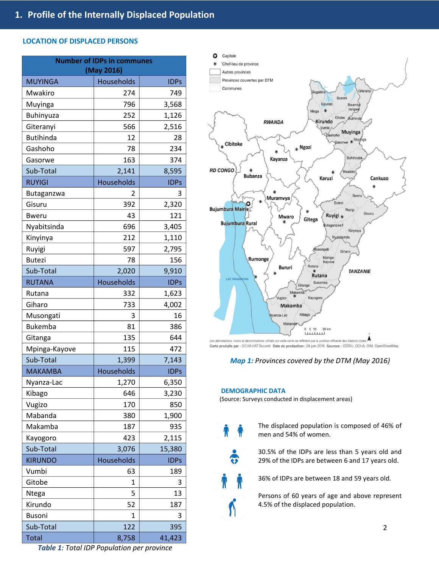#### **LOCATION OF DISPLACED PERSONS**

| <b>MUYINGA</b><br>Households<br><b>IDPs</b><br>Mwakiro<br>274<br>749<br>796<br>3,568<br>Muyinga<br>252<br>1,126<br><b>Buhinyuza</b><br>566<br>2,516<br>Giteranyi<br><b>Butihinda</b><br>12<br>28<br>Gashoho<br>78<br>234<br>163<br>374<br>Gasorwe<br>2,141<br>8,595<br>Sub-Total<br>Households<br><b>RUYIGI</b><br><b>IDPs</b><br>Butaganzwa<br>3<br>2<br>Gisuru<br>392<br>2,320<br>43<br>121<br>Bweru<br>696<br>Nyabitsinda<br>3,405<br>212<br>Kinyinya<br>1,110<br>597<br>2,795<br>Ruyigi<br><b>Butezi</b><br>78<br>156<br>2,020<br>9,910<br>Sub-Total<br>Households<br><b>RUTANA</b><br><b>IDPs</b><br>1,623<br>Rutana<br>332<br>Giharo<br>733<br>4,002<br>Musongati<br>3<br>16<br>81<br><b>Bukemba</b><br>386<br>135<br>644<br>Gitanga<br>115<br>Mpinga-Kayove<br>472<br>1,399<br>7,143<br>Sub-Total<br><b>MAKAMBA</b><br>Households<br><b>IDPs</b><br>1,270<br>6,350<br>Nyanza-Lac<br>646<br>3,230<br>Kibago<br>Vugizo<br>170<br>850<br>Mabanda<br>1,900<br>380<br>Makamba<br>187<br>935<br>423<br>2,115<br>Kayogoro<br>Sub-Total<br>3,076<br>15,380<br>Households<br><b>KIRUNDO</b><br><b>IDPs</b><br>Vumbi<br>63<br>189<br>Gitobe<br>1<br>3<br>5<br>Ntega<br>13<br>Kirundo<br>187<br>52<br><b>Busoni</b><br>1<br>3<br>Sub-Total<br>122<br>395<br><b>Total</b><br>41,423<br>8,758 | <b>Number of IDPs in communes</b><br>(May 2016) |  |  |  |
|-----------------------------------------------------------------------------------------------------------------------------------------------------------------------------------------------------------------------------------------------------------------------------------------------------------------------------------------------------------------------------------------------------------------------------------------------------------------------------------------------------------------------------------------------------------------------------------------------------------------------------------------------------------------------------------------------------------------------------------------------------------------------------------------------------------------------------------------------------------------------------------------------------------------------------------------------------------------------------------------------------------------------------------------------------------------------------------------------------------------------------------------------------------------------------------------------------------------------------------------------------------------------------------------|-------------------------------------------------|--|--|--|
|                                                                                                                                                                                                                                                                                                                                                                                                                                                                                                                                                                                                                                                                                                                                                                                                                                                                                                                                                                                                                                                                                                                                                                                                                                                                                         |                                                 |  |  |  |
|                                                                                                                                                                                                                                                                                                                                                                                                                                                                                                                                                                                                                                                                                                                                                                                                                                                                                                                                                                                                                                                                                                                                                                                                                                                                                         |                                                 |  |  |  |
|                                                                                                                                                                                                                                                                                                                                                                                                                                                                                                                                                                                                                                                                                                                                                                                                                                                                                                                                                                                                                                                                                                                                                                                                                                                                                         |                                                 |  |  |  |
|                                                                                                                                                                                                                                                                                                                                                                                                                                                                                                                                                                                                                                                                                                                                                                                                                                                                                                                                                                                                                                                                                                                                                                                                                                                                                         |                                                 |  |  |  |
|                                                                                                                                                                                                                                                                                                                                                                                                                                                                                                                                                                                                                                                                                                                                                                                                                                                                                                                                                                                                                                                                                                                                                                                                                                                                                         |                                                 |  |  |  |
|                                                                                                                                                                                                                                                                                                                                                                                                                                                                                                                                                                                                                                                                                                                                                                                                                                                                                                                                                                                                                                                                                                                                                                                                                                                                                         |                                                 |  |  |  |
|                                                                                                                                                                                                                                                                                                                                                                                                                                                                                                                                                                                                                                                                                                                                                                                                                                                                                                                                                                                                                                                                                                                                                                                                                                                                                         |                                                 |  |  |  |
|                                                                                                                                                                                                                                                                                                                                                                                                                                                                                                                                                                                                                                                                                                                                                                                                                                                                                                                                                                                                                                                                                                                                                                                                                                                                                         |                                                 |  |  |  |
|                                                                                                                                                                                                                                                                                                                                                                                                                                                                                                                                                                                                                                                                                                                                                                                                                                                                                                                                                                                                                                                                                                                                                                                                                                                                                         |                                                 |  |  |  |
|                                                                                                                                                                                                                                                                                                                                                                                                                                                                                                                                                                                                                                                                                                                                                                                                                                                                                                                                                                                                                                                                                                                                                                                                                                                                                         |                                                 |  |  |  |
|                                                                                                                                                                                                                                                                                                                                                                                                                                                                                                                                                                                                                                                                                                                                                                                                                                                                                                                                                                                                                                                                                                                                                                                                                                                                                         |                                                 |  |  |  |
|                                                                                                                                                                                                                                                                                                                                                                                                                                                                                                                                                                                                                                                                                                                                                                                                                                                                                                                                                                                                                                                                                                                                                                                                                                                                                         |                                                 |  |  |  |
|                                                                                                                                                                                                                                                                                                                                                                                                                                                                                                                                                                                                                                                                                                                                                                                                                                                                                                                                                                                                                                                                                                                                                                                                                                                                                         |                                                 |  |  |  |
|                                                                                                                                                                                                                                                                                                                                                                                                                                                                                                                                                                                                                                                                                                                                                                                                                                                                                                                                                                                                                                                                                                                                                                                                                                                                                         |                                                 |  |  |  |
|                                                                                                                                                                                                                                                                                                                                                                                                                                                                                                                                                                                                                                                                                                                                                                                                                                                                                                                                                                                                                                                                                                                                                                                                                                                                                         |                                                 |  |  |  |
|                                                                                                                                                                                                                                                                                                                                                                                                                                                                                                                                                                                                                                                                                                                                                                                                                                                                                                                                                                                                                                                                                                                                                                                                                                                                                         |                                                 |  |  |  |
|                                                                                                                                                                                                                                                                                                                                                                                                                                                                                                                                                                                                                                                                                                                                                                                                                                                                                                                                                                                                                                                                                                                                                                                                                                                                                         |                                                 |  |  |  |
|                                                                                                                                                                                                                                                                                                                                                                                                                                                                                                                                                                                                                                                                                                                                                                                                                                                                                                                                                                                                                                                                                                                                                                                                                                                                                         |                                                 |  |  |  |
|                                                                                                                                                                                                                                                                                                                                                                                                                                                                                                                                                                                                                                                                                                                                                                                                                                                                                                                                                                                                                                                                                                                                                                                                                                                                                         |                                                 |  |  |  |
|                                                                                                                                                                                                                                                                                                                                                                                                                                                                                                                                                                                                                                                                                                                                                                                                                                                                                                                                                                                                                                                                                                                                                                                                                                                                                         |                                                 |  |  |  |
|                                                                                                                                                                                                                                                                                                                                                                                                                                                                                                                                                                                                                                                                                                                                                                                                                                                                                                                                                                                                                                                                                                                                                                                                                                                                                         |                                                 |  |  |  |
|                                                                                                                                                                                                                                                                                                                                                                                                                                                                                                                                                                                                                                                                                                                                                                                                                                                                                                                                                                                                                                                                                                                                                                                                                                                                                         |                                                 |  |  |  |
|                                                                                                                                                                                                                                                                                                                                                                                                                                                                                                                                                                                                                                                                                                                                                                                                                                                                                                                                                                                                                                                                                                                                                                                                                                                                                         |                                                 |  |  |  |
|                                                                                                                                                                                                                                                                                                                                                                                                                                                                                                                                                                                                                                                                                                                                                                                                                                                                                                                                                                                                                                                                                                                                                                                                                                                                                         |                                                 |  |  |  |
|                                                                                                                                                                                                                                                                                                                                                                                                                                                                                                                                                                                                                                                                                                                                                                                                                                                                                                                                                                                                                                                                                                                                                                                                                                                                                         |                                                 |  |  |  |
|                                                                                                                                                                                                                                                                                                                                                                                                                                                                                                                                                                                                                                                                                                                                                                                                                                                                                                                                                                                                                                                                                                                                                                                                                                                                                         |                                                 |  |  |  |
|                                                                                                                                                                                                                                                                                                                                                                                                                                                                                                                                                                                                                                                                                                                                                                                                                                                                                                                                                                                                                                                                                                                                                                                                                                                                                         |                                                 |  |  |  |
|                                                                                                                                                                                                                                                                                                                                                                                                                                                                                                                                                                                                                                                                                                                                                                                                                                                                                                                                                                                                                                                                                                                                                                                                                                                                                         |                                                 |  |  |  |
|                                                                                                                                                                                                                                                                                                                                                                                                                                                                                                                                                                                                                                                                                                                                                                                                                                                                                                                                                                                                                                                                                                                                                                                                                                                                                         |                                                 |  |  |  |
|                                                                                                                                                                                                                                                                                                                                                                                                                                                                                                                                                                                                                                                                                                                                                                                                                                                                                                                                                                                                                                                                                                                                                                                                                                                                                         |                                                 |  |  |  |
|                                                                                                                                                                                                                                                                                                                                                                                                                                                                                                                                                                                                                                                                                                                                                                                                                                                                                                                                                                                                                                                                                                                                                                                                                                                                                         |                                                 |  |  |  |
|                                                                                                                                                                                                                                                                                                                                                                                                                                                                                                                                                                                                                                                                                                                                                                                                                                                                                                                                                                                                                                                                                                                                                                                                                                                                                         |                                                 |  |  |  |
|                                                                                                                                                                                                                                                                                                                                                                                                                                                                                                                                                                                                                                                                                                                                                                                                                                                                                                                                                                                                                                                                                                                                                                                                                                                                                         |                                                 |  |  |  |
|                                                                                                                                                                                                                                                                                                                                                                                                                                                                                                                                                                                                                                                                                                                                                                                                                                                                                                                                                                                                                                                                                                                                                                                                                                                                                         |                                                 |  |  |  |
|                                                                                                                                                                                                                                                                                                                                                                                                                                                                                                                                                                                                                                                                                                                                                                                                                                                                                                                                                                                                                                                                                                                                                                                                                                                                                         |                                                 |  |  |  |
|                                                                                                                                                                                                                                                                                                                                                                                                                                                                                                                                                                                                                                                                                                                                                                                                                                                                                                                                                                                                                                                                                                                                                                                                                                                                                         |                                                 |  |  |  |
|                                                                                                                                                                                                                                                                                                                                                                                                                                                                                                                                                                                                                                                                                                                                                                                                                                                                                                                                                                                                                                                                                                                                                                                                                                                                                         |                                                 |  |  |  |
|                                                                                                                                                                                                                                                                                                                                                                                                                                                                                                                                                                                                                                                                                                                                                                                                                                                                                                                                                                                                                                                                                                                                                                                                                                                                                         |                                                 |  |  |  |
|                                                                                                                                                                                                                                                                                                                                                                                                                                                                                                                                                                                                                                                                                                                                                                                                                                                                                                                                                                                                                                                                                                                                                                                                                                                                                         |                                                 |  |  |  |
|                                                                                                                                                                                                                                                                                                                                                                                                                                                                                                                                                                                                                                                                                                                                                                                                                                                                                                                                                                                                                                                                                                                                                                                                                                                                                         |                                                 |  |  |  |
|                                                                                                                                                                                                                                                                                                                                                                                                                                                                                                                                                                                                                                                                                                                                                                                                                                                                                                                                                                                                                                                                                                                                                                                                                                                                                         |                                                 |  |  |  |
|                                                                                                                                                                                                                                                                                                                                                                                                                                                                                                                                                                                                                                                                                                                                                                                                                                                                                                                                                                                                                                                                                                                                                                                                                                                                                         |                                                 |  |  |  |



Les délimitations, noms et dénominations utilisés sur cette carte ne reflètent pas la position officielle des Nations Unies.<br>Carte produite par : OCHA HAT Burundi Date de production : 24 juin 2016 Sources : IGEBU, OCHA, OI

## *Map 1: Provinces covered by the DTM (May 2016)*

#### **DEMOGRAPHIC DATA**

(Source: Surveys conducted in displacement areas)

- The displaced population is composed of 46% of men and 54% of women.
	- 30.5% of the IDPs are less than 5 years old and 29% of the IDPs are between 6 and 17 years old.

36% of IDPs are between 18 and 59 years old.

Persons of 60 years of age and above represent 4.5% of the displaced population.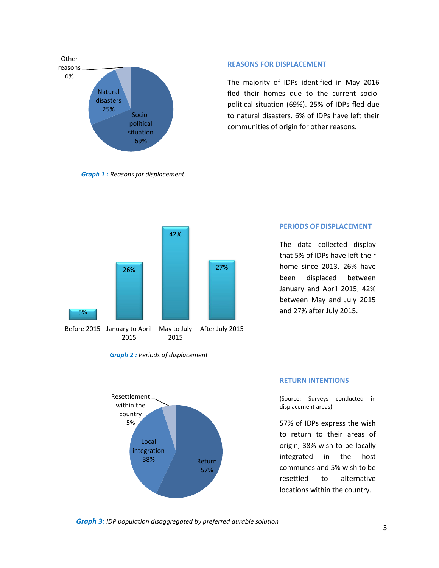

*Graph 1 : Reasons for displacement*

#### **REASONS FOR DISPLACEMENT**

The majority of IDPs identified in May 2016 fled their homes due to the current sociopolitical situation (69%). 25% of IDPs fled due to natural disasters. 6% of IDPs have left their communities of origin for other reasons.



#### **PERIODS OF DISPLACEMENT**

The data collected display that 5% of IDPs have left their home since 2013. 26% have been displaced between January and April 2015, 42% between May and July 2015 and 27% after July 2015.





#### **RETURN INTENTIONS**

(Source: Surveys conducted in displacement areas)

57% of IDPs express the wish to return to their areas of origin, 38% wish to be locally integrated in the host communes and 5% wish to be resettled to alternative locations within the country.

*Graph 3: IDP population disaggregated by preferred durable solution*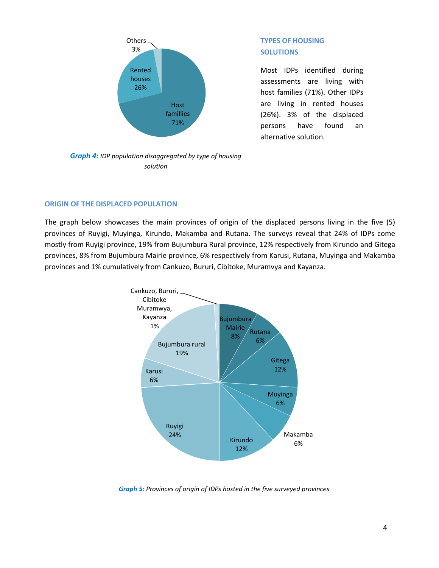

# **TYPES OF HOUSING SOLUTIONS**

Most IDPs identified during assessments are living with host families (71%). Other IDPs are living in rented houses (26%). 3% of the displaced persons have found an alternative solution.

*Graph 4: IDP population disaggregated by type of housing solution*

## **ORIGIN OF THE DISPLACED POPULATION**

The graph below showcases the main provinces of origin of the displaced persons living in the five (5) provinces of Ruyigi, Muyinga, Kirundo, Makamba and Rutana. The surveys reveal that 24% of IDPs come mostly from Ruyigi province, 19% from Bujumbura Rural province, 12% respectively from Kirundo and Gitega provinces, 8% from Bujumbura Mairie province, 6% respectively from Karusi, Rutana, Muyinga and Makamba provinces and 1% cumulatively from Cankuzo, Bururi, Cibitoke, Muramvya and Kayanza.



*Graph 5: Provinces of origin of IDPs hosted in the five surveyed provinces*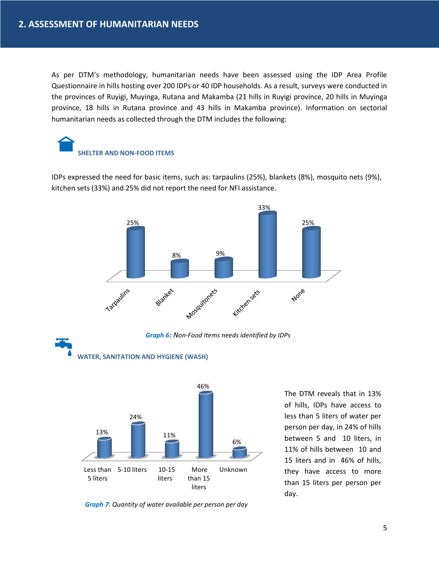As per DTM's methodology, humanitarian needs have been assessed using the IDP Area Profile Questionnaire in hills hosting over 200 IDPs or 40 IDP households. As a result, surveys were conducted in the provinces of Ruyigi, Muyinga, Rutana and Makamba (21 hills in Ruyigi province, 20 hills in Muyinga province, 18 hills in Rutana province and 43 hills in Makamba province). Information on sectorial humanitarian needs as collected through the DTM includes the following:

# **SHELTER AND NON-FOOD ITEMS**

IDPs expressed the need for basic items, such as: tarpaulins (25%), blankets (8%), mosquito nets (9%), kitchen sets (33%) and 25% did not report the need for NFI assistance.



*Graph 6: Non-Food Items needs identified by IDPs*



**WATER, SANITATION AND HYGIENE (WASH)**

The DTM reveals that in 13% of hills, IDPs have access to less than 5 liters of water per person per day, in 24% of hills between 5 and 10 liters, in 11% of hills between 10 and 15 liters and in 46% of hills, they have access to more than 15 liters per person per day.

*Graph 7: Quantity of water available per person per day*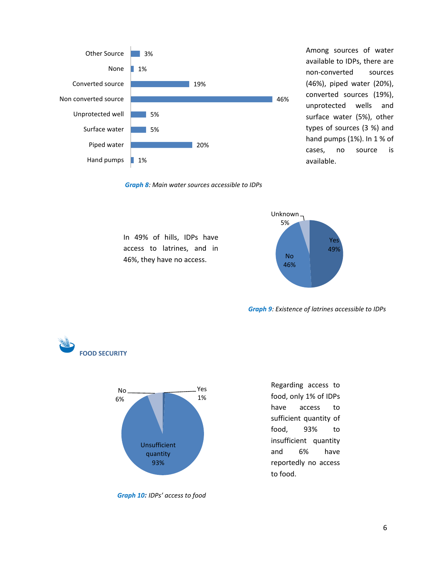

In 49% of hills, IDPs have access to latrines, and in 46%, they have no access.

Among sources of water available to IDPs, there are non-converted sources (46%), piped water (20%), converted sources (19%), unprotected wells and surface water (5%), other types of sources (3 %) and hand pumps (1%). In 1 % of cases, no source is available.





*Graph 9: Existence of latrines accessible to IDPs*

Regarding access to food, only 1% of IDPs have access to





sufficient quantity of food, 93% to insufficient quantity and 6% have reportedly no access to food.

*Graph 10: IDPs' access to food*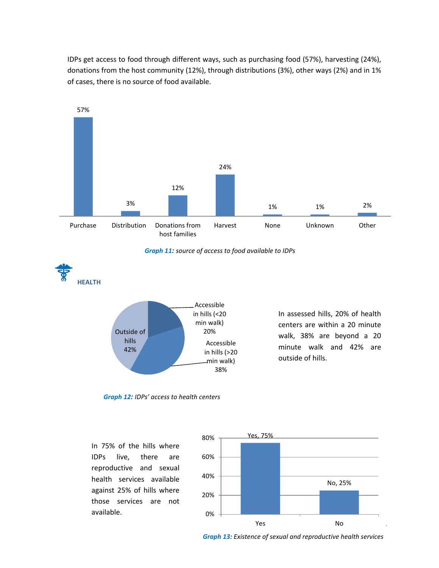IDPs get access to food through different ways, such as purchasing food (57%), harvesting (24%), donations from the host community (12%), through distributions (3%), other ways (2%) and in 1% of cases, there is no source of food available.



*Graph 11: source of access to food available to IDPs*



In assessed hills, 20% of health centers are within a 20 minute walk, 38% are beyond a 20 minute walk and 42% are outside of hills.

*Graph 12: IDPs' access to health centers*

In 75% of the hills where IDPs live, there are reproductive and sexual health services available against 25% of hills where those services are not available.



*Graph 13: Existence of sexual and reproductive health services*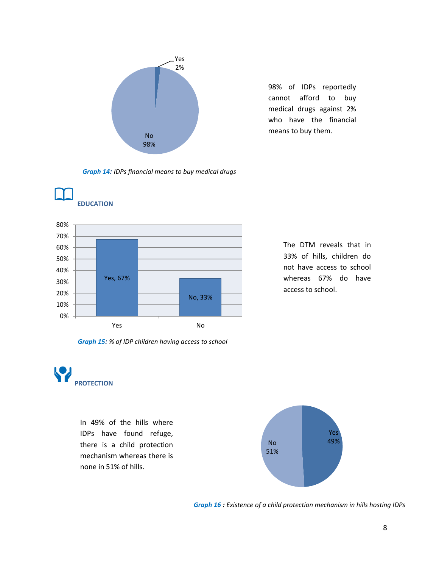

98% of IDPs reportedly cannot afford to buy medical drugs against 2% who have the financial means to buy them.

*Graph 14: IDPs financial means to buy medical drugs*





The DTM reveals that in 33% of hills, children do not have access to school whereas 67% do have access to school.

*Graph 15: % of IDP children having access to school*



In 49% of the hills where IDPs have found refuge, there is a child protection mechanism whereas there is none in 51% of hills.



*Graph 16 : Existence of a child protection mechanism in hills hosting IDPs*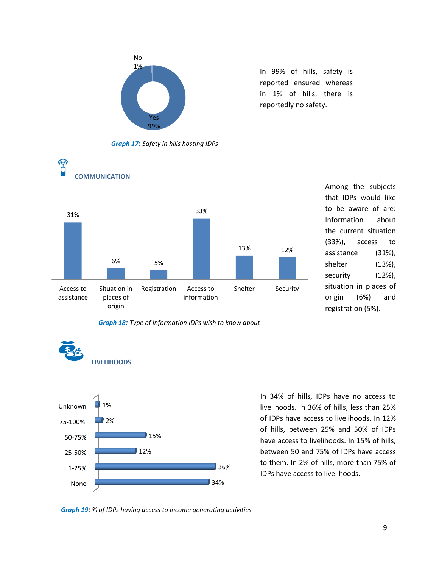

In 99% of hills, safety is reported ensured whereas in 1% of hills, there is reportedly no safety.



 $\widehat{\mathbb{P}}$ 



Among the subjects that IDPs would like to be aware of are: Information about the current situation (33%), access to assistance (31%), shelter (13%), security (12%), situation in places of origin (6%) and registration (5%).





In 34% of hills, IDPs have no access to livelihoods. In 36% of hills, less than 25% of IDPs have access to livelihoods. In 12% of hills, between 25% and 50% of IDPs have access to livelihoods. In 15% of hills, between 50 and 75% of IDPs have access to them. In 2% of hills, more than 75% of IDPs have access to livelihoods.

*Graph 19: % of IDPs having access to income generating activities*